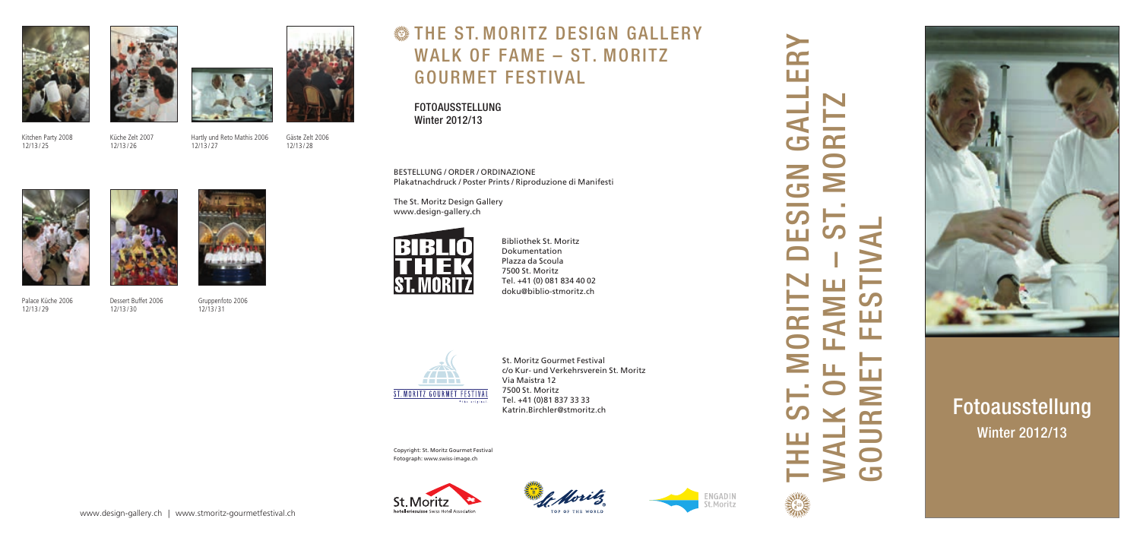BESTELLUNG / ORDER / ORDINAZIONE Plakatnachdruck / Poster Prints / Riproduzione di Manifesti

The St. Moritz Design Gallery www.design-gallery.ch



Bibliothek St. Moritz Dokumentation Plazza da Scoula 7500 St. Moritz Tel. +41 (0) 081 834 40 02 doku@biblio-stmoritz.ch



THE ST. MORITZ DESIGN GALLERY H. **Contract Contract Contract** د ا  $\geq$  $\sqrt{2}$  $\mathcal{O}$ M <u>in a</u> OR<sub>I</sub>  $\geq$  $\mathcal{C}$ **RANGE STRAKE** 

 $\blacktriangleright$ n-



# WALK OF FAME – ST. MORITZ  $\mathbf{C}$  $\bf \Sigma$ GOURMET FESTIVAL  $\mathcal{O}_{\mathcal{P}}$  $\geq$ Щ  $\overline{\mathbf{C}}$ Ш  $\mathbf{C}$ 'n



St. Moritz Gourmet Festival c/o Kur- und Verkehrsverein St. Moritz Via Maistra 12 7500 St. Moritz Tel. +41 (0)81 837 33 33 Katrin.Birchler@stmoritz.ch

Copyright: St. Moritz Gourmet Festival Fotograph: www.swiss-image.ch







### THE S T . MORITZ DESIGN GALLERY WALK OF FAME – ST. MORITZ GOURMET FESTIVA L

FOTOAUSSTELLUNG Winter 2012/13

## Fotoausstellung Winter 2012/13

Kitchen Party 2008 12/13 / 25





Küche Zelt 2007 12/13 / 26

Hartly und Reto Mathis 2006 12/13 / 27

> Gruppenfoto 2006 12/13 / 31

Gäste Zelt 2006 12/13 / 28

Palace Küche 2006 12/13 / 29

Dessert Buffet 2006



12/13 / 30